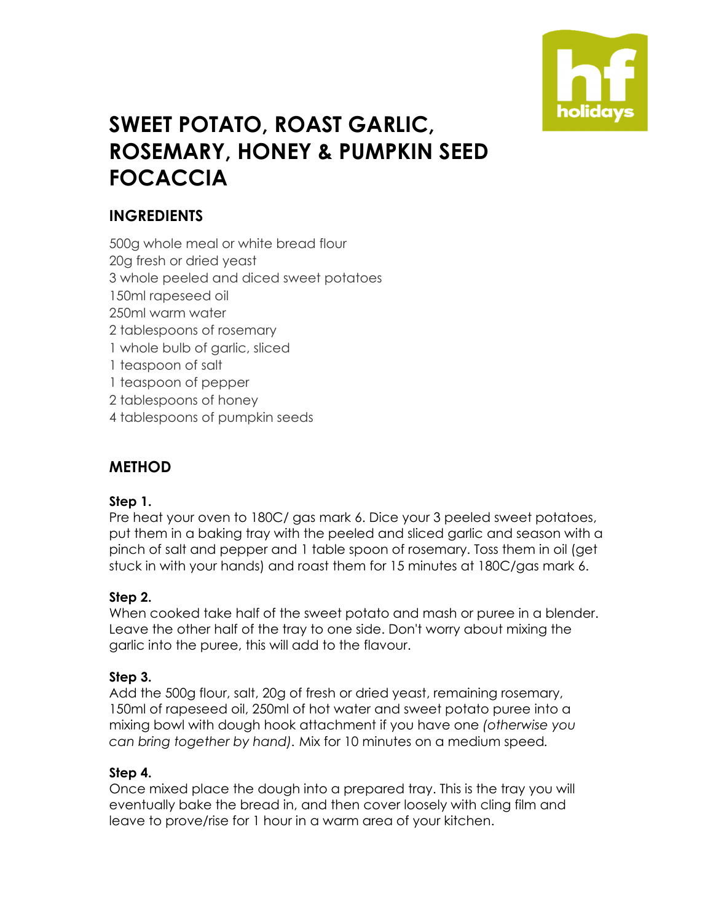

# **SWEET POTATO, ROAST GARLIC, ROSEMARY, HONEY & PUMPKIN SEED FOCACCIA**

# **INGREDIENTS**

500g whole meal or white bread flour 20g fresh or dried yeast 3 whole peeled and diced sweet potatoes 150ml rapeseed oil 250ml warm water 2 tablespoons of rosemary 1 whole bulb of garlic, sliced 1 teaspoon of salt 1 teaspoon of pepper 2 tablespoons of honey 4 tablespoons of pumpkin seeds

## **METHOD**

## **Step 1.**

Pre heat your oven to 180C/ gas mark 6. Dice your 3 peeled sweet potatoes, put them in a baking tray with the peeled and sliced garlic and season with a pinch of salt and pepper and 1 table spoon of rosemary. Toss them in oil (get stuck in with your hands) and roast them for 15 minutes at 180C/gas mark 6.

## **Step 2.**

When cooked take half of the sweet potato and mash or puree in a blender. Leave the other half of the tray to one side. Don't worry about mixing the garlic into the puree, this will add to the flavour.

#### **Step 3.**

Add the 500g flour, salt, 20g of fresh or dried yeast, remaining rosemary, 150ml of rapeseed oil, 250ml of hot water and sweet potato puree into a mixing bowl with dough hook attachment if you have one *(otherwise you can bring together by hand).* Mix for 10 minutes on a medium speed*.* 

#### **Step 4.**

Once mixed place the dough into a prepared tray. This is the tray you will eventually bake the bread in, and then cover loosely with cling film and leave to prove/rise for 1 hour in a warm area of your kitchen.